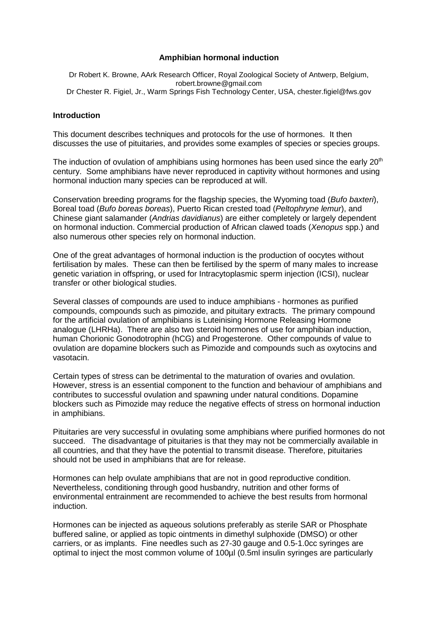### **Amphibian hormonal induction**

Dr Robert K. Browne, AArk Research Officer, Royal Zoological Society of Antwerp, Belgium, robert.browne@gmail.com Dr Chester R. Figiel, Jr., Warm Springs Fish Technology Center, USA, chester.figiel@fws.gov

#### **Introduction**

This document describes techniques and protocols for the use of hormones. It then discusses the use of pituitaries, and provides some examples of species or species groups.

The induction of ovulation of amphibians using hormones has been used since the early  $20<sup>th</sup>$ century. Some amphibians have never reproduced in captivity without hormones and using hormonal induction many species can be reproduced at will.

Conservation breeding programs for the flagship species, the Wyoming toad (*Bufo baxteri*), Boreal toad (*Bufo boreas boreas*), Puerto Rican crested toad (*Peltophryne lemur*), and Chinese giant salamander (*Andrias davidianus*) are either completely or largely dependent on hormonal induction. Commercial production of African clawed toads (*Xenopus* spp.) and also numerous other species rely on hormonal induction.

One of the great advantages of hormonal induction is the production of oocytes without fertilisation by males. These can then be fertilised by the sperm of many males to increase genetic variation in offspring, or used for Intracytoplasmic sperm injection (ICSI), nuclear transfer or other biological studies.

Several classes of compounds are used to induce amphibians - hormones as purified compounds, compounds such as pimozide, and pituitary extracts. The primary compound for the artificial ovulation of amphibians is Luteinising Hormone Releasing Hormone analogue (LHRHa). There are also two steroid hormones of use for amphibian induction, human Chorionic Gonodotrophin (hCG) and Progesterone. Other compounds of value to ovulation are dopamine blockers such as Pimozide and compounds such as oxytocins and vasotacin.

Certain types of stress can be detrimental to the maturation of ovaries and ovulation. However, stress is an essential component to the function and behaviour of amphibians and contributes to successful ovulation and spawning under natural conditions. Dopamine blockers such as Pimozide may reduce the negative effects of stress on hormonal induction in amphibians.

Pituitaries are very successful in ovulating some amphibians where purified hormones do not succeed. The disadvantage of pituitaries is that they may not be commercially available in all countries, and that they have the potential to transmit disease. Therefore, pituitaries should not be used in amphibians that are for release.

Hormones can help ovulate amphibians that are not in good reproductive condition. Nevertheless, conditioning through good husbandry, nutrition and other forms of environmental entrainment are recommended to achieve the best results from hormonal induction.

Hormones can be injected as aqueous solutions preferably as sterile SAR or Phosphate buffered saline, or applied as topic ointments in dimethyl sulphoxide (DMSO) or other carriers, or as implants. Fine needles such as 27-30 gauge and 0.5-1.0cc syringes are optimal to inject the most common volume of 100µl (0.5ml insulin syringes are particularly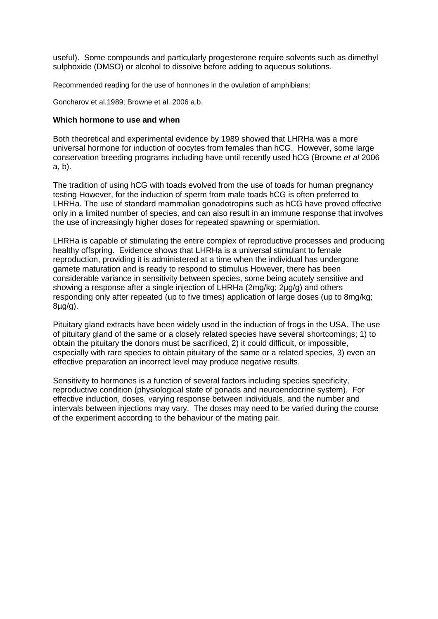useful). Some compounds and particularly progesterone require solvents such as dimethyl sulphoxide (DMSO) or alcohol to dissolve before adding to aqueous solutions.

Recommended reading for the use of hormones in the ovulation of amphibians:

Goncharov et al.1989; Browne et al. 2006 a,b.

#### **Which hormone to use and when**

Both theoretical and experimental evidence by 1989 showed that LHRHa was a more universal hormone for induction of oocytes from females than hCG. However, some large conservation breeding programs including have until recently used hCG (Browne *et al* 2006 a, b).

The tradition of using hCG with toads evolved from the use of toads for human pregnancy testing However, for the induction of sperm from male toads hCG is often preferred to LHRHa. The use of standard mammalian gonadotropins such as hCG have proved effective only in a limited number of species, and can also result in an immune response that involves the use of increasingly higher doses for repeated spawning or spermiation.

LHRHa is capable of stimulating the entire complex of reproductive processes and producing healthy offspring. Evidence shows that LHRHa is a universal stimulant to female reproduction, providing it is administered at a time when the individual has undergone gamete maturation and is ready to respond to stimulus However, there has been considerable variance in sensitivity between species, some being acutely sensitive and showing a response after a single injection of LHRHa (2mg/kg; 2µg/g) and others responding only after repeated (up to five times) application of large doses (up to 8mg/kg; 8µg/g).

Pituitary gland extracts have been widely used in the induction of frogs in the USA. The use of pituitary gland of the same or a closely related species have several shortcomings; 1) to obtain the pituitary the donors must be sacrificed, 2) it could difficult, or impossible, especially with rare species to obtain pituitary of the same or a related species, 3) even an effective preparation an incorrect level may produce negative results.

Sensitivity to hormones is a function of several factors including species specificity, reproductive condition (physiological state of gonads and neuroendocrine system). For effective induction, doses, varying response between individuals, and the number and intervals between injections may vary. The doses may need to be varied during the course of the experiment according to the behaviour of the mating pair.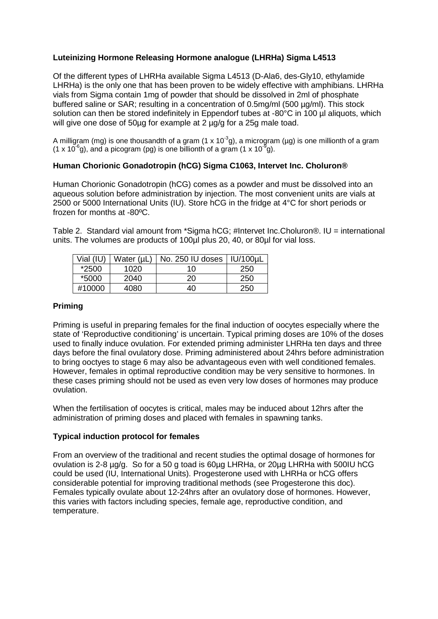# **Luteinizing Hormone Releasing Hormone analogue (LHRHa) Sigma L4513**

Of the different types of LHRHa available Sigma L4513 (D-Ala6, des-Gly10, ethylamide LHRHa) is the only one that has been proven to be widely effective with amphibians. LHRHa vials from Sigma contain 1mg of powder that should be dissolved in 2ml of phosphate buffered saline or SAR; resulting in a concentration of 0.5mg/ml (500 µg/ml). This stock solution can then be stored indefinitely in Eppendorf tubes at -80°C in 100 µl aliquots, which will give one dose of 50µg for example at 2 µg/g for a 25g male toad.

A milligram (mg) is one thousandth of a gram (1 x 10<sup>-3</sup>g), a microgram (µg) is one millionth of a gram (1 x 10<sup>-6</sup>g), and a picogram (pg) is one billionth of a gram (1 x 10<sup>-9</sup>g).

# **Human Chorionic Gonadotropin (hCG) Sigma C1063, Intervet Inc. Choluron®**

Human Chorionic Gonadotropin (hCG) comes as a powder and must be dissolved into an aqueous solution before administration by injection. The most convenient units are vials at 2500 or 5000 International Units (IU). Store hCG in the fridge at 4°C for short periods or frozen for months at -80ºC.

Table 2. Standard vial amount from \*Sigma hCG; #Intervet Inc.Choluron®. IU = international units. The volumes are products of 100µl plus 20, 40, or 80µl for vial loss.

| Vial (IU) | Water (µL | No. 250 IU doses | <b>IU/100uL</b> |
|-----------|-----------|------------------|-----------------|
| *2500     | 1020      | 10               | 250             |
| *5000     | 2040      | 20               | 250             |
| #10000    | 4080      | 40               | 250             |

### **Priming**

Priming is useful in preparing females for the final induction of oocytes especially where the state of 'Reproductive conditioning' is uncertain. Typical priming doses are 10% of the doses used to finally induce ovulation. For extended priming administer LHRHa ten days and three days before the final ovulatory dose. Priming administered about 24hrs before administration to bring ooctyes to stage 6 may also be advantageous even with well conditioned females. However, females in optimal reproductive condition may be very sensitive to hormones. In these cases priming should not be used as even very low doses of hormones may produce ovulation.

When the fertilisation of oocytes is critical, males may be induced about 12hrs after the administration of priming doses and placed with females in spawning tanks.

# **Typical induction protocol for females**

From an overview of the traditional and recent studies the optimal dosage of hormones for ovulation is 2-8 µg/g. So for a 50 g toad is 60µg LHRHa, or 20µg LHRHa with 500IU hCG could be used (IU, International Units). Progesterone used with LHRHa or hCG offers considerable potential for improving traditional methods (see Progesterone this doc). Females typically ovulate about 12-24hrs after an ovulatory dose of hormones. However, this varies with factors including species, female age, reproductive condition, and temperature.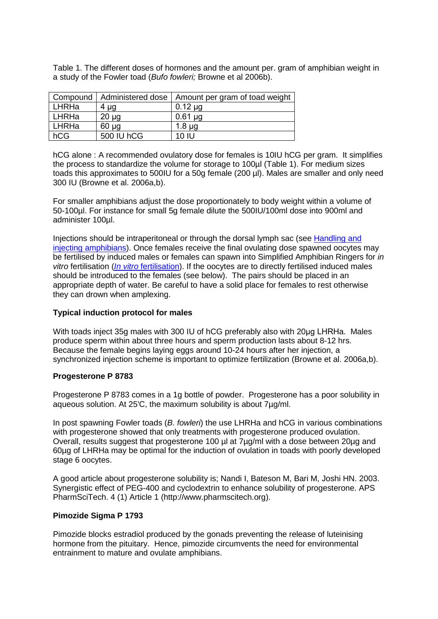Table 1. The different doses of hormones and the amount per. gram of amphibian weight in a study of the Fowler toad (*Bufo fowleri;* Browne et al 2006b).

|       | Compound   Administered dose | Amount per gram of toad weight |
|-------|------------------------------|--------------------------------|
| LHRHa | 4 µg                         | $0.12 \mu$ g                   |
| LHRHa | $20 \mu g$                   | $0.61 \mu$ g                   |
| LHRHa | $60 \mu$ g                   | $1.8 \mu g$                    |
| hCG   | 500 IU hCG                   | 10 IU                          |

hCG alone : A recommended ovulatory dose for females is 10IU hCG per gram. It simplifies the process to standardize the volume for storage to 100µl (Table 1). For medium sizes toads this approximates to 500IU for a 50g female (200 µl). Males are smaller and only need 300 IU (Browne et al. 2006a,b).

For smaller amphibians adjust the dose proportionately to body weight within a volume of 50-100µl. For instance for small 5g female dilute the 500IU/100ml dose into 900ml and administer 100µl.

Injections should be intraperitoneal or through the dorsal lymph sac (see [Handling and](http://portal.isis.org/partners/AARK/ResearchGuide/Reproduction%20technology/Handling%20and%20injecting%20amphibians.pdf)  [injecting amphibians\)](http://portal.isis.org/partners/AARK/ResearchGuide/Reproduction%20technology/Handling%20and%20injecting%20amphibians.pdf). Once females receive the final ovulating dose spawned oocytes may be fertilised by induced males or females can spawn into Simplified Amphibian Ringers for *in vitro* fertilisation (*In vitro* [fertilisation\)](http://portal.isis.org/partners/AARK/ResearchGuide/Reproduction%20technology/In%20vitro%20fertilization.pdf). If the oocytes are to directly fertilised induced males should be introduced to the females (see below). The pairs should be placed in an appropriate depth of water. Be careful to have a solid place for females to rest otherwise they can drown when amplexing.

# **Typical induction protocol for males**

With toads inject 35g males with 300 IU of hCG preferably also with 20µg LHRHa. Males produce sperm within about three hours and sperm production lasts about 8-12 hrs. Because the female begins laying eggs around 10-24 hours after her injection, a synchronized injection scheme is important to optimize fertilization (Browne et al. 2006a,b).

# **Progesterone P 8783**

Progesterone P 8783 comes in a 1g bottle of powder. Progesterone has a poor solubility in aqueous solution. At 25'C, the maximum solubility is about 7µg/ml.

In post spawning Fowler toads (*B*. *fowleri*) the use LHRHa and hCG in various combinations with progesterone showed that only treatments with progesterone produced ovulation. Overall, results suggest that progesterone 100 µl at 7µg/ml with a dose between 20µg and 60µg of LHRHa may be optimal for the induction of ovulation in toads with poorly developed stage 6 oocytes.

A good article about progesterone solubility is; Nandi I, Bateson M, Bari M, Joshi HN. 2003. Synergistic effect of PEG-400 and cyclodextrin to enhance solubility of progesterone. APS PharmSciTech. 4 (1) Article 1 (http://www.pharmscitech.org).

#### **Pimozide Sigma P 1793**

Pimozide blocks estradiol produced by the gonads preventing the release of luteinising hormone from the pituitary. Hence, pimozide circumvents the need for environmental entrainment to mature and ovulate amphibians.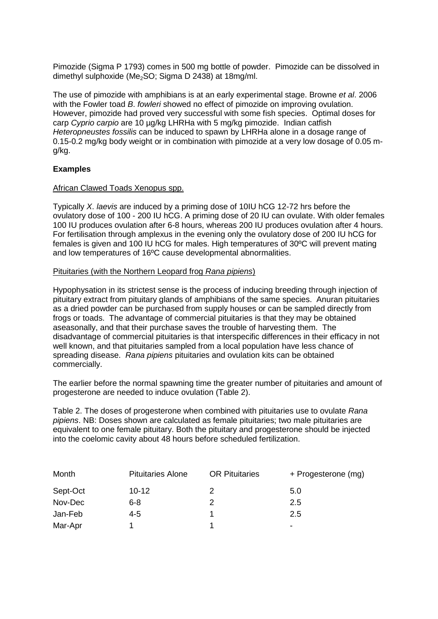Pimozide (Sigma P 1793) comes in 500 mg bottle of powder. Pimozide can be dissolved in dimethyl sulphoxide (Me<sub>2</sub>SO; Sigma D 2438) at 18mg/ml.

The use of pimozide with amphibians is at an early experimental stage. Browne *et al*. 2006 with the Fowler toad *B*. *fowleri* showed no effect of pimozide on improving ovulation. However, pimozide had proved very successful with some fish species. Optimal doses for carp *Cyprio carpio* are 10 µg/kg LHRHa with 5 mg/kg pimozide. Indian catfish *Heteropneustes fossilis* can be induced to spawn by LHRHa alone in a dosage range of 0.15-0.2 mg/kg body weight or in combination with pimozide at a very low dosage of 0.05 mg/kg.

# **Examples**

#### African Clawed Toads Xenopus spp.

Typically *X*. *laevis* are induced by a priming dose of 10IU hCG 12-72 hrs before the ovulatory dose of 100 - 200 IU hCG. A priming dose of 20 IU can ovulate. With older females 100 IU produces ovulation after 6-8 hours, whereas 200 IU produces ovulation after 4 hours. For fertilisation through amplexus in the evening only the ovulatory dose of 200 IU hCG for females is given and 100 IU hCG for males. High temperatures of 30ºC will prevent mating and low temperatures of 16ºC cause developmental abnormalities.

#### Pituitaries (with the Northern Leopard frog *Rana pipiens*)

Hypophysation in its strictest sense is the process of inducing breeding through injection of pituitary extract from pituitary glands of amphibians of the same species. Anuran pituitaries as a dried powder can be purchased from supply houses or can be sampled directly from frogs or toads. The advantage of commercial pituitaries is that they may be obtained aseasonally, and that their purchase saves the trouble of harvesting them. The disadvantage of commercial pituitaries is that interspecific differences in their efficacy in not well known, and that pituitaries sampled from a local population have less chance of spreading disease. *Rana pipiens* pituitaries and ovulation kits can be obtained commercially.

The earlier before the normal spawning time the greater number of pituitaries and amount of progesterone are needed to induce ovulation (Table 2).

Table 2. The doses of progesterone when combined with pituitaries use to ovulate *Rana pipiens*. NB: Doses shown are calculated as female pituitaries; two male pituitaries are equivalent to one female pituitary. Both the pituitary and progesterone should be injected into the coelomic cavity about 48 hours before scheduled fertilization.

| Month    | <b>Pituitaries Alone</b> | <b>OR Pituitaries</b> | + Progesterone (mg) |
|----------|--------------------------|-----------------------|---------------------|
| Sept-Oct | $10 - 12$                |                       | 5.0                 |
| Nov-Dec  | 6-8                      | 2                     | 2.5                 |
| Jan-Feb  | $4 - 5$                  |                       | 2.5                 |
| Mar-Apr  |                          |                       | ۰                   |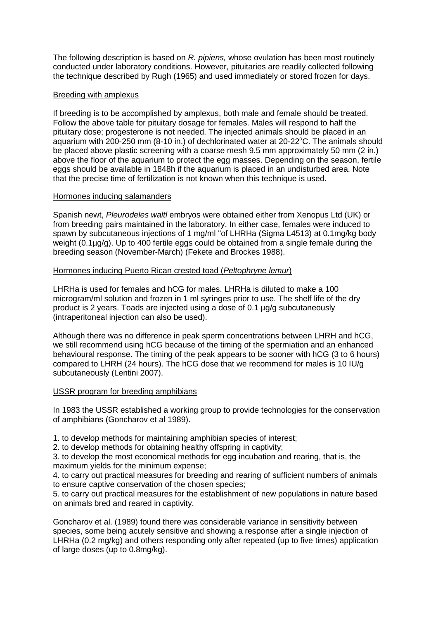The following description is based on *R. pipiens,* whose ovulation has been most routinely conducted under laboratory conditions. However, pituitaries are readily collected following the technique described by Rugh (1965) and used immediately or stored frozen for days.

### Breeding with amplexus

If breeding is to be accomplished by amplexus, both male and female should be treated. Follow the above table for pituitary dosage for females. Males will respond to half the pituitary dose; progesterone is not needed. The injected animals should be placed in an aquarium with 200-250 mm (8-10 in.) of dechlorinated water at 20-22°C. The animals should be placed above plastic screening with a coarse mesh 9.5 mm approximately 50 mm (2 in.) above the floor of the aquarium to protect the egg masses. Depending on the season, fertile eggs should be available in 1848h if the aquarium is placed in an undisturbed area. Note that the precise time of fertilization is not known when this technique is used.

### Hormones inducing salamanders

Spanish newt, *Pleurodeles waltl* embryos were obtained either from Xenopus Ltd (UK) or from breeding pairs maintained in the laboratory. In either case, females were induced to spawn by subcutaneous injections of 1 mg/ml "of LHRHa (Sigma L4513) at 0.1mg/kg body weight (0.1µg/g). Up to 400 fertile eggs could be obtained from a single female during the breeding season (November-March) (Fekete and Brockes 1988).

# Hormones inducing Puerto Rican crested toad (*Peltophryne lemur*)

LHRHa is used for females and hCG for males. LHRHa is diluted to make a 100 microgram/ml solution and frozen in 1 ml syringes prior to use. The shelf life of the dry product is 2 years. Toads are injected using a dose of 0.1 µg/g subcutaneously (intraperitoneal injection can also be used).

Although there was no difference in peak sperm concentrations between LHRH and hCG, we still recommend using hCG because of the timing of the spermiation and an enhanced behavioural response. The timing of the peak appears to be sooner with hCG (3 to 6 hours) compared to LHRH (24 hours). The hCG dose that we recommend for males is 10 IU/g subcutaneously (Lentini 2007).

#### USSR program for breeding amphibians

In 1983 the USSR established a working group to provide technologies for the conservation of amphibians (Goncharov et al 1989).

1. to develop methods for maintaining amphibian species of interest;

2. to develop methods for obtaining healthy offspring in captivity;

3. to develop the most economical methods for egg incubation and rearing, that is, the maximum yields for the minimum expense;

4. to carry out practical measures for breeding and rearing of sufficient numbers of animals to ensure captive conservation of the chosen species;

5. to carry out practical measures for the establishment of new populations in nature based on animals bred and reared in captivity.

Goncharov et al. (1989) found there was considerable variance in sensitivity between species, some being acutely sensitive and showing a response after a single injection of LHRHa (0.2 mg/kg) and others responding only after repeated (up to five times) application of large doses (up to 0.8mg/kg).